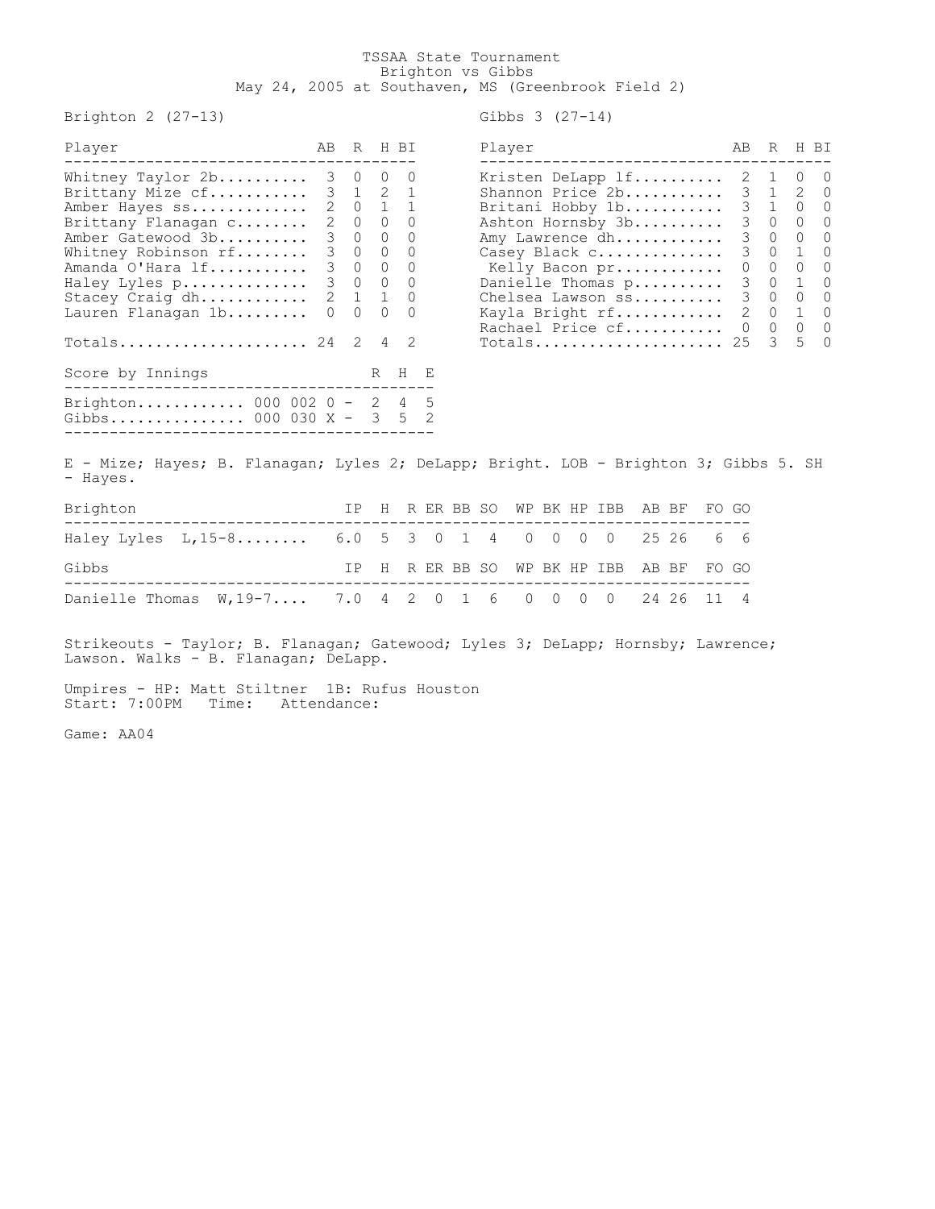## TSSAA State Tournament Brighton vs Gibbs May 24, 2005 at Southaven, MS (Greenbrook Field 2)

Brighton  $2$  (27-13)

Player AB R H BI --------------------------------------- --------------------------------------- Whitney Taylor 2b.......... 3 0 0 0 Kristen DeLapp lf.......... 2 1 0 0 Brittany Mize cf........... 3 1 2 1 Shannon Price 2b........... 3 1 2 0 Amber Hayes ss............. 2 0 1 1 Britani Hobby 1b........... 3 1 0 0 Brittany Flanagan c........ 2 0 0 0 Ashton Hornsby 3b.......... 3 0 0 0 Amber Gatewood 3b........... 3 0 0 0 Whitney Robinson rf......... 3 0 0 0 Amanda O'Hara lf........... 3 0 0 0 Kelly Bacon pr............ 0 0 0 0 Haley Lyles p.............. 3 0 0 0 Danielle Thomas p.......... 3 0 1 0 Stacey Craig dh............ 2 1 1 0 Chelsea Lawson ss.......... 3 0 0 0 Lauren Flanagan 1b......... 0 0 0 0 Kayla Bright rf............ 2 0 1 0 Rachael Price cf........... 0 0 0 0 Totals...................... 24  $2$  4  $2$ Score by Innings R H E ----------------------------------------- Brighton............ 000 002 0 - 2 4 5 Gibbs............... 000 030 X - 3 5 2 -----------------------------------------

| Gibbs 3 |  | $(27 - 14)$ |
|---------|--|-------------|
|---------|--|-------------|

| Player                                                                                                                                                    | AВ                                   | R                                    |                                                     | H BI                  |
|-----------------------------------------------------------------------------------------------------------------------------------------------------------|--------------------------------------|--------------------------------------|-----------------------------------------------------|-----------------------|
| Kristen DeLapp lf<br>Shannon Price 2b<br>Britani Hobby 1b<br>Ashton Hornsby 3b<br>Amy Lawrence dh<br>Casey Black c<br>Kelly Bacon pr<br>Danielle Thomas p | 2<br>3<br>3<br>3<br>3<br>3<br>0<br>3 | 1<br>1<br>1<br>0<br>0<br>0<br>0<br>0 | $\left( \right)$<br>2<br>∩<br>0<br>0<br>1<br>0<br>1 | Ω<br>$\left( \right)$ |
| Chelsea Lawson ss<br>Kayla Bright rf<br>Rachael Price cf<br>Totals                                                                                        | 3<br>$\mathcal{L}$<br>0<br>25        | 0<br>0<br>0<br>ζ                     | ∩<br>1<br>0<br>5                                    |                       |

E - Mize; Hayes; B. Flanagan; Lyles 2; DeLapp; Bright. LOB - Brighton 3; Gibbs 5. SH - Hayes.

| Brighton |                                                          |  |  |  |  | IP H R ER BB SO WP BK HP IBB AB BF FO GO |  |  |
|----------|----------------------------------------------------------|--|--|--|--|------------------------------------------|--|--|
|          | Haley Lyles L, 15-8 6.0 5 3 0 1 4 0 0 0 0 25 26 6 6      |  |  |  |  |                                          |  |  |
| Gibbs    |                                                          |  |  |  |  | IP H R ER BB SO WP BK HP IBB AB BF FO GO |  |  |
|          | Danielle Thomas W, 19-7 7.0 4 2 0 1 6 0 0 0 0 24 26 11 4 |  |  |  |  |                                          |  |  |

Strikeouts - Taylor; B. Flanagan; Gatewood; Lyles 3; DeLapp; Hornsby; Lawrence; Lawson. Walks - B. Flanagan; DeLapp.

Umpires - HP: Matt Stiltner 1B: Rufus Houston Start: 7:00PM Time: Attendance:

Game: AA04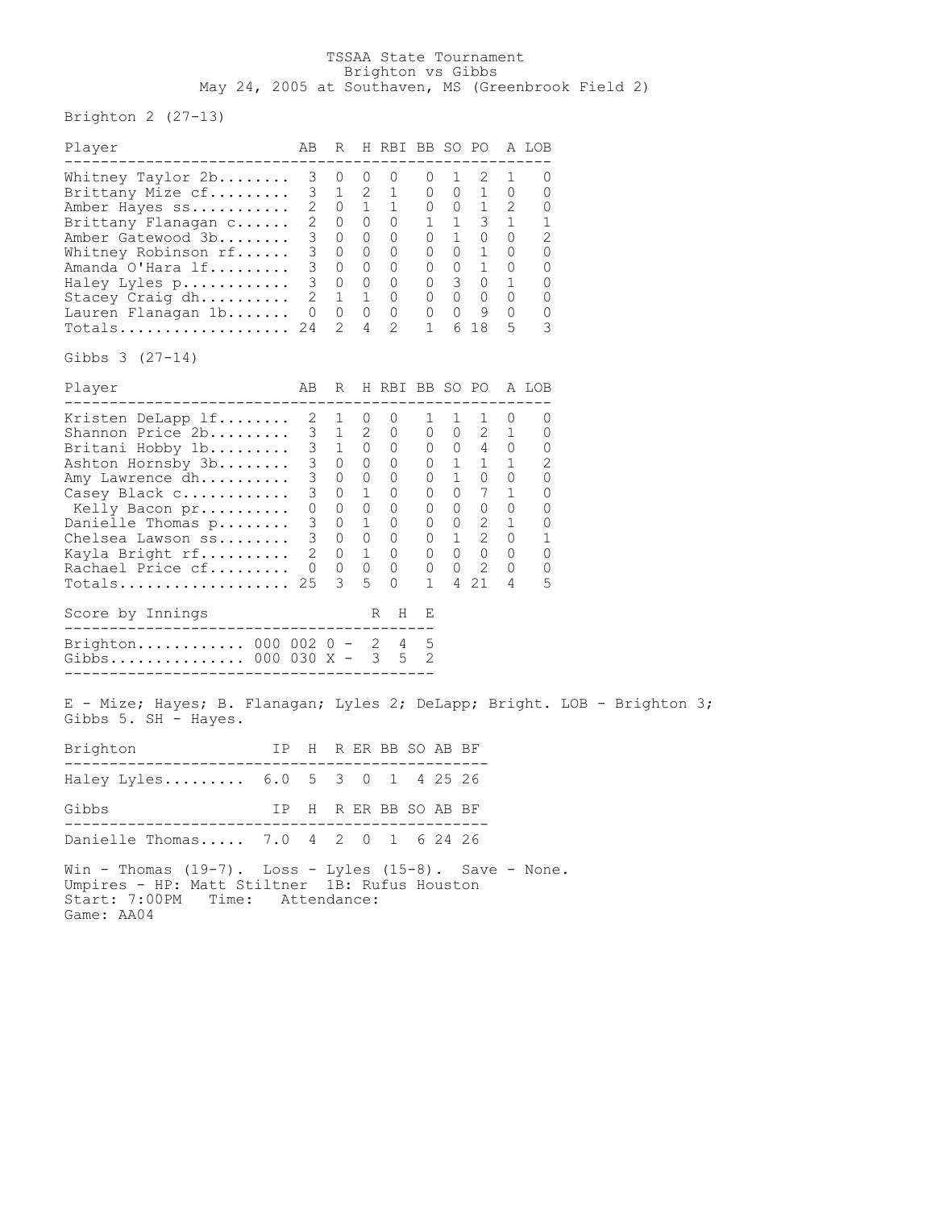## TSSAA State Tournament Brighton vs Gibbs May 24, 2005 at Southaven, MS (Greenbrook Field 2)

Brighton 2 (27-13)

| Player                                                                                                                                                                                                                                               | AВ                                        | R                                                             |                                           | H RBI BB SO PO                                                                                                                                                                                                                                                                                                        |                                                                                |                                  |                                                                                                        |                             | A LOB                                                    |  |
|------------------------------------------------------------------------------------------------------------------------------------------------------------------------------------------------------------------------------------------------------|-------------------------------------------|---------------------------------------------------------------|-------------------------------------------|-----------------------------------------------------------------------------------------------------------------------------------------------------------------------------------------------------------------------------------------------------------------------------------------------------------------------|--------------------------------------------------------------------------------|----------------------------------|--------------------------------------------------------------------------------------------------------|-----------------------------|----------------------------------------------------------|--|
| ----------------------------<br>Whitney Taylor 2b<br>Brittany Mize cf<br>Amber Hayes ss<br>Brittany Flanagan c<br>Amber Gatewood 3b<br>Whitney Robinson $rf$<br>Amanda O'Hara lf<br>Haley Lyles p<br>Stacey Craig dh<br>Lauren Flanagan 1b<br>Totals | 3<br>$\mathbf{2}$<br>$\overline{0}$<br>24 | 0<br>3 1<br>$2 \quad 0$<br>2 0 0<br>3 0 0<br>$\mathbf 1$<br>2 | 0<br>2<br>1<br>$\overline{1}$<br>$\sim$ 4 | 0<br>1<br>$\begin{array}{cccccccc} 3 & 0 & 0 & 0 & 0 & 1 & 0 & 0 \\ 3 & 0 & 0 & 0 & 0 & 0 & 1 & 0 \\ 3 & 0 & 0 & 0 & 0 & 0 & 1 & 0 \end{array}$<br>$\begin{matrix} 0 & 0 & 3 & 0 & 1 \\ 0 & 0 & 0 & 0 & 0 \end{matrix}$<br>0 0 0 0 0 9<br>$\mathbf{2}$                                                                | 0<br>0<br>$\begin{matrix} 1 & 0 & 0 \\ 0 & 1 & 1 \end{matrix}$<br>$\mathbf{1}$ | $\overline{1}$<br>$\overline{0}$ | ---------------<br>2<br>1<br>$0 \quad 1 \quad 2$<br>$3\quad1$<br>6 18                                  | 1<br>0<br>$\mathbf{0}$<br>5 | 0<br>0<br>0<br>1<br>2<br>0<br>0<br>0<br>0<br>0<br>3      |  |
| Gibbs $3(27-14)$                                                                                                                                                                                                                                     |                                           |                                                               |                                           |                                                                                                                                                                                                                                                                                                                       |                                                                                |                                  |                                                                                                        |                             |                                                          |  |
| Player<br>. <u>.</u> .                                                                                                                                                                                                                               |                                           |                                                               |                                           | AB R H RBI BB SO PO A LOB                                                                                                                                                                                                                                                                                             |                                                                                |                                  |                                                                                                        |                             |                                                          |  |
| Kristen DeLapp lf<br>Shannon Price 2b<br>Britani Hobby 1b<br>Ashton Hornsby 3b<br>Amy Lawrence dh<br>Casey Black c<br>Kelly Bacon pr<br>Danielle Thomas $p \ldots \ldots$<br>Chelsea Lawson ss<br>Kayla Bright rf<br>Rachael Price cf<br>Totals      | $\overline{0}$<br>25                      | $2 \quad 1$<br>3 1 2<br>3 1 0 0<br>$\Omega$<br>3              | $\overline{0}$<br>$\circ$<br>5            | 0<br>0<br>3 0 0 0 0 1 1 1<br>3 0 0 0 0 1 1 1<br>3 0 0 0 0 1 0 0<br>3 0 1 0 0 0<br>$\begin{array}{cccccccc} 0 & 0 & 0 & 0 & 0 & 0 & 0 & 0 \\ 3 & 0 & 1 & 0 & 0 & 0 & 2 & 1 \end{array}$<br>$\begin{array}{cccccccc} 3 & 0 & 0 & 0 & 0 & 1 & 2 & 0 \\ 2 & 0 & 1 & 0 & 0 & 0 & 0 & 0 \end{array}$<br>$\circ$<br>$\Omega$ | 1<br>0<br>0<br>1                                                               | 1<br>$\overline{0}$              | 1<br>2<br>$0 \quad 4 \quad 0$<br>7 1<br>$\begin{array}{ccccccccc}\n0 & 0 & 2 & 0\n\end{array}$<br>4 21 | 0<br>$\overline{1}$<br>4    | 0<br>0<br>0<br>2<br>0<br>0<br>0<br>0<br>1<br>0<br>0<br>5 |  |
| Score by Innings                                                                                                                                                                                                                                     |                                           |                                                               |                                           | R H                                                                                                                                                                                                                                                                                                                   | Е                                                                              |                                  |                                                                                                        |                             |                                                          |  |
| Brighton 000 002 0 - 2 4<br>Gibbs 000 030 $X - 3$ 5                                                                                                                                                                                                  |                                           |                                                               |                                           |                                                                                                                                                                                                                                                                                                                       | 5<br>2                                                                         |                                  |                                                                                                        |                             |                                                          |  |
| E - Mize; Hayes; B. Flanagan; Lyles 2; DeLapp; Bright. LOB - Brighton 3;<br>Gibbs 5. SH - Hayes.                                                                                                                                                     |                                           |                                                               |                                           |                                                                                                                                                                                                                                                                                                                       |                                                                                |                                  |                                                                                                        |                             |                                                          |  |
| Brighton<br>IP H R ER BB SO AB BF                                                                                                                                                                                                                    |                                           |                                                               |                                           |                                                                                                                                                                                                                                                                                                                       |                                                                                |                                  |                                                                                                        |                             |                                                          |  |
| Haley Lyles 6.0 5 3 0 1                                                                                                                                                                                                                              |                                           |                                                               |                                           |                                                                                                                                                                                                                                                                                                                       | 4 25 26                                                                        |                                  |                                                                                                        |                             |                                                          |  |
| IP H R ER BB SO AB BF<br>Gibbs                                                                                                                                                                                                                       |                                           |                                                               |                                           |                                                                                                                                                                                                                                                                                                                       |                                                                                |                                  |                                                                                                        |                             |                                                          |  |
| Danielle Thomas 7.0 4 2 0 1 6 24 26                                                                                                                                                                                                                  |                                           |                                                               |                                           |                                                                                                                                                                                                                                                                                                                       |                                                                                |                                  |                                                                                                        |                             |                                                          |  |
| Win - Thomas (19-7). Loss - Lyles (15-8). Save - None.<br>Umpires - HP: Matt Stiltner 1B: Rufus Houston<br>Start: 7:00PM<br>Time: Attendance:<br>Game: AA04                                                                                          |                                           |                                                               |                                           |                                                                                                                                                                                                                                                                                                                       |                                                                                |                                  |                                                                                                        |                             |                                                          |  |